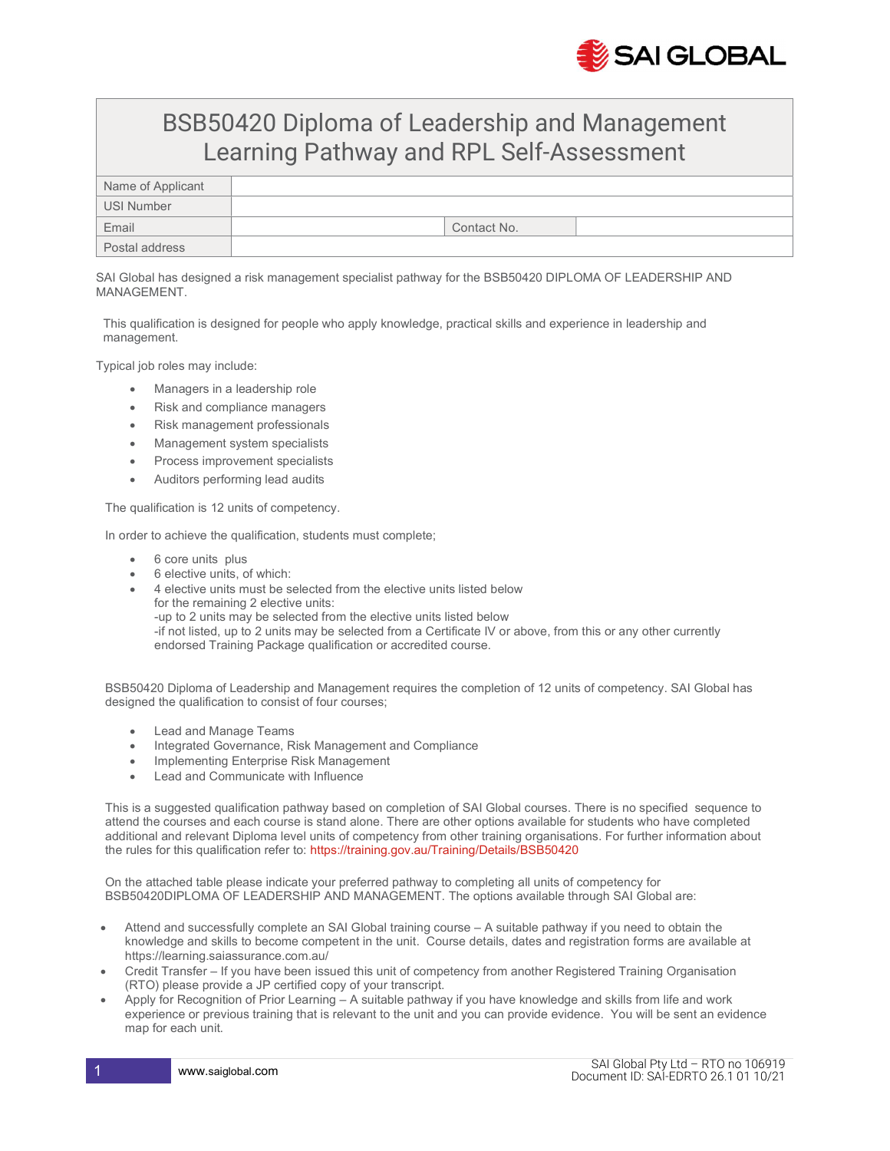

## BSB50420 Diploma of Leadership and Management Learning Pathway and RPL Self-Assessment

| Name of Applicant |             |
|-------------------|-------------|
| USI Number        |             |
| Email             | Contact No. |
| Postal address    |             |

SAI Global has designed a risk management specialist pathway for the BSB50420 DIPLOMA OF LEADERSHIP AND MANAGEMENT.

This qualification is designed for people who apply knowledge, practical skills and experience in leadership and management.

Typical job roles may include:

- Managers in a leadership role
- Risk and compliance managers
- Risk management professionals
- Management system specialists
- Process improvement specialists
- Auditors performing lead audits

The qualification is 12 units of competency.

In order to achieve the qualification, students must complete;

- 6 core units plus
- 6 elective units, of which:
- 4 elective units must be selected from the elective units listed below for the remaining 2 elective units: -up to 2 units may be selected from the elective units listed below -if not listed, up to 2 units may be selected from a Certificate IV or above, from this or any other currently endorsed Training Package qualification or accredited course.

BSB50420 Diploma of Leadership and Management requires the completion of 12 units of competency. SAI Global has designed the qualification to consist of four courses;

- Lead and Manage Teams
- Integrated Governance, Risk Management and Compliance
- Implementing Enterprise Risk Management
- Lead and Communicate with Influence

This is a suggested qualification pathway based on completion of SAI Global courses. There is no specified sequence to attend the courses and each course is stand alone. There are other options available for students who have completed additional and relevant Diploma level units of competency from other training organisations. For further information about the rules for this qualification refer to: https://training.gov.au/Training/Details/BSB50420

On the attached table please indicate your preferred pathway to completing all units of competency for BSB50420DIPLOMA OF LEADERSHIP AND MANAGEMENT. The options available through SAI Global are:

- Attend and successfully complete an SAI Global training course A suitable pathway if you need to obtain the knowledge and skills to become competent in the unit. Course details, dates and registration forms are available at https://learning.saiassurance.com.au/
- Credit Transfer If you have been issued this unit of competency from another Registered Training Organisation (RTO) please provide a JP certified copy of your transcript.
- Apply for Recognition of Prior Learning A suitable pathway if you have knowledge and skills from life and work experience or previous training that is relevant to the unit and you can provide evidence. You will be sent an evidence map for each unit.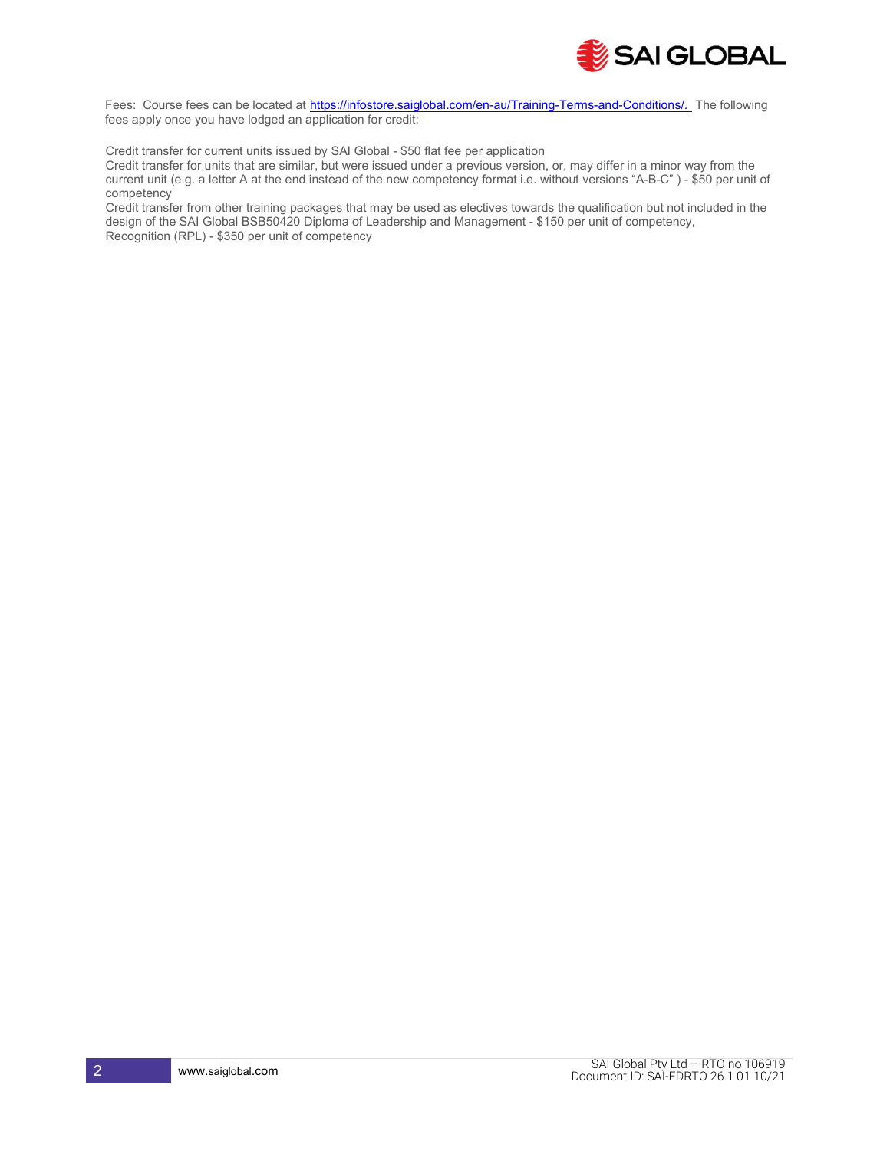

Fees: Course fees can be located at https://infostore.saiglobal.com/en-au/Training-Terms-and-Conditions/. The following fees apply once you have lodged an application for credit:

Credit transfer for current units issued by SAI Global - \$50 flat fee per application

Credit transfer for units that are similar, but were issued under a previous version, or, may differ in a minor way from the current unit (e.g. a letter A at the end instead of the new competency format i.e. without versions "A-B-C" ) - \$50 per unit of competency

Credit transfer from other training packages that may be used as electives towards the qualification but not included in the design of the SAI Global BSB50420 Diploma of Leadership and Management - \$150 per unit of competency, Recognition (RPL) - \$350 per unit of competency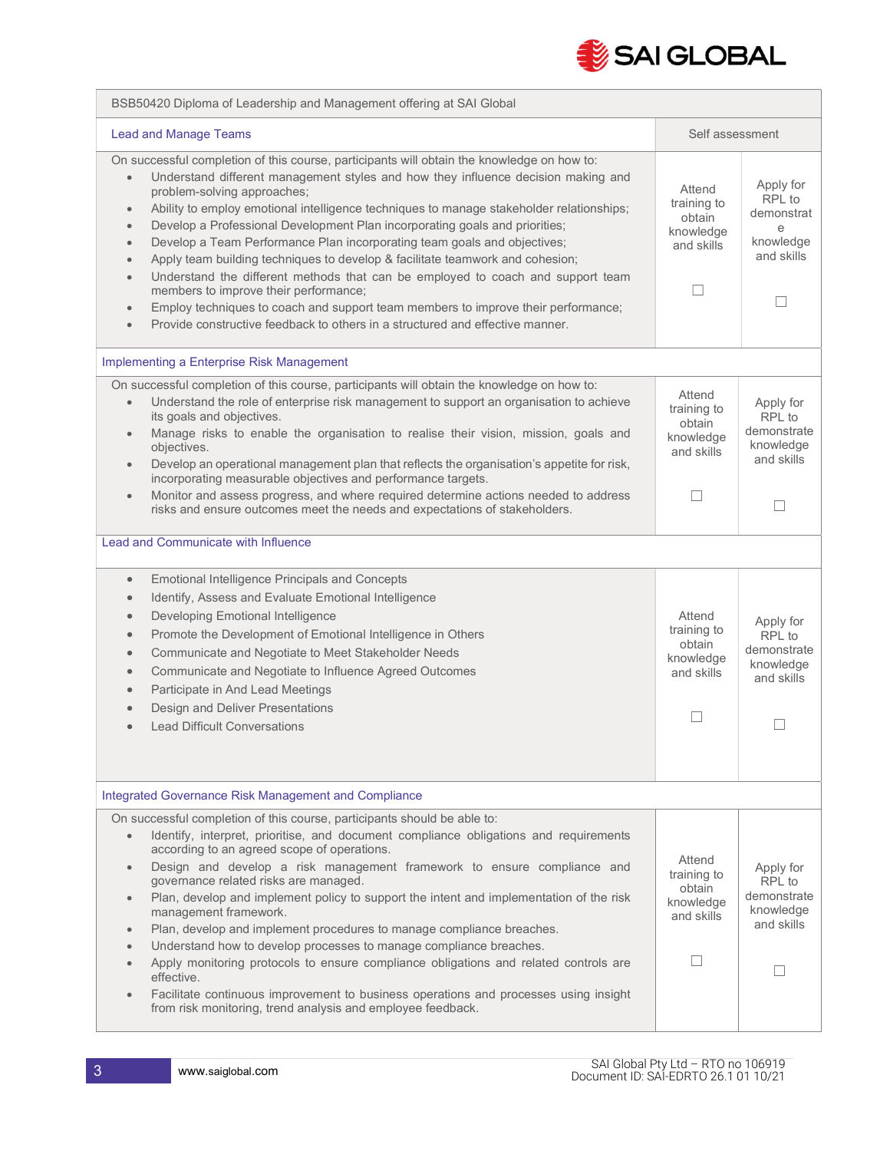

| BSB50420 Diploma of Leadership and Management offering at SAI Global                                                                                                                                                                                                                                                                                                                                                                                                                                                                                                                                                                                                                                                                                                                                                                                                                                                                                |                                                                 |                                                                                           |
|-----------------------------------------------------------------------------------------------------------------------------------------------------------------------------------------------------------------------------------------------------------------------------------------------------------------------------------------------------------------------------------------------------------------------------------------------------------------------------------------------------------------------------------------------------------------------------------------------------------------------------------------------------------------------------------------------------------------------------------------------------------------------------------------------------------------------------------------------------------------------------------------------------------------------------------------------------|-----------------------------------------------------------------|-------------------------------------------------------------------------------------------|
| <b>Lead and Manage Teams</b>                                                                                                                                                                                                                                                                                                                                                                                                                                                                                                                                                                                                                                                                                                                                                                                                                                                                                                                        | Self assessment                                                 |                                                                                           |
| On successful completion of this course, participants will obtain the knowledge on how to:<br>Understand different management styles and how they influence decision making and<br>$\bullet$<br>problem-solving approaches;<br>Ability to employ emotional intelligence techniques to manage stakeholder relationships;<br>$\bullet$<br>Develop a Professional Development Plan incorporating goals and priorities;<br>$\bullet$<br>Develop a Team Performance Plan incorporating team goals and objectives;<br>$\bullet$<br>Apply team building techniques to develop & facilitate teamwork and cohesion;<br>$\bullet$<br>Understand the different methods that can be employed to coach and support team<br>$\bullet$<br>members to improve their performance;<br>Employ techniques to coach and support team members to improve their performance;<br>$\bullet$<br>Provide constructive feedback to others in a structured and effective manner. | Attend<br>training to<br>obtain<br>knowledge<br>and skills<br>П | Apply for<br>RPL to<br>demonstrat<br>e<br>knowledge<br>and skills<br>$\Box$               |
| Implementing a Enterprise Risk Management                                                                                                                                                                                                                                                                                                                                                                                                                                                                                                                                                                                                                                                                                                                                                                                                                                                                                                           |                                                                 |                                                                                           |
| On successful completion of this course, participants will obtain the knowledge on how to:<br>Understand the role of enterprise risk management to support an organisation to achieve<br>$\bullet$<br>its goals and objectives.<br>Manage risks to enable the organisation to realise their vision, mission, goals and<br>$\bullet$<br>objectives.<br>Develop an operational management plan that reflects the organisation's appetite for risk,<br>$\bullet$<br>incorporating measurable objectives and performance targets.<br>Monitor and assess progress, and where required determine actions needed to address<br>$\bullet$<br>risks and ensure outcomes meet the needs and expectations of stakeholders.                                                                                                                                                                                                                                     | Attend<br>training to<br>obtain<br>knowledge<br>and skills<br>П | Apply for<br>RPL to<br>demonstrate<br>knowledge<br>and skills<br>П                        |
| Lead and Communicate with Influence                                                                                                                                                                                                                                                                                                                                                                                                                                                                                                                                                                                                                                                                                                                                                                                                                                                                                                                 |                                                                 |                                                                                           |
| <b>Emotional Intelligence Principals and Concepts</b><br>$\bullet$<br>Identify, Assess and Evaluate Emotional Intelligence<br>$\bullet$<br>Developing Emotional Intelligence<br>$\bullet$<br>Promote the Development of Emotional Intelligence in Others<br>$\bullet$<br>Communicate and Negotiate to Meet Stakeholder Needs<br>$\bullet$<br>Communicate and Negotiate to Influence Agreed Outcomes<br>$\bullet$<br>Participate in And Lead Meetings<br>$\bullet$<br>Design and Deliver Presentations<br><b>Lead Difficult Conversations</b>                                                                                                                                                                                                                                                                                                                                                                                                        | Attend<br>training to<br>obtain<br>knowledge<br>and skills      | Apply for<br>RPL to<br>demonstrate<br>knowledge<br>and skills<br>$\overline{\phantom{a}}$ |
| Integrated Governance Risk Management and Compliance                                                                                                                                                                                                                                                                                                                                                                                                                                                                                                                                                                                                                                                                                                                                                                                                                                                                                                |                                                                 |                                                                                           |
| On successful completion of this course, participants should be able to:<br>Identify, interpret, prioritise, and document compliance obligations and requirements<br>$\bullet$<br>according to an agreed scope of operations.<br>Design and develop a risk management framework to ensure compliance and<br>$\bullet$<br>governance related risks are managed.<br>Plan, develop and implement policy to support the intent and implementation of the risk<br>$\bullet$<br>management framework.<br>Plan, develop and implement procedures to manage compliance breaches.<br>$\bullet$<br>Understand how to develop processes to manage compliance breaches.<br>Apply monitoring protocols to ensure compliance obligations and related controls are<br>$\bullet$<br>effective.<br>Facilitate continuous improvement to business operations and processes using insight<br>$\bullet$<br>from risk monitoring, trend analysis and employee feedback.  | Attend<br>training to<br>obtain<br>knowledge<br>and skills      | Apply for<br>RPL to<br>demonstrate<br>knowledge<br>and skills                             |